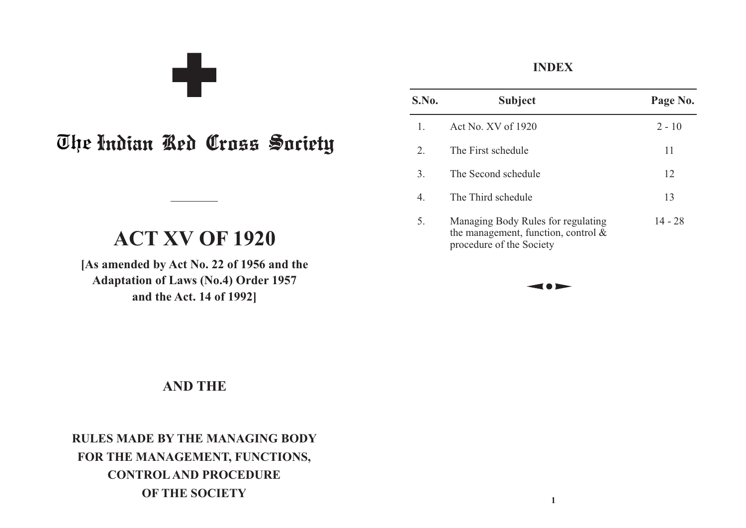The Indian Red Cross Society

a ba

# **ACT XV OF 1920**

**[As amended by Act No. 22 of 1956 and the Adaptation of Laws (No.4) Order 1957 and the Act. 14 of 1992]**

# **AND THE**

**RULES MADE BY THE MANAGING BODY FOR THE MANAGEMENT, FUNCTIONS, CONTROLAND PROCEDURE OF THE SOCIETY**

### **INDEX**

| S.No.          | <b>Subject</b>                                                                                           | Page No.  |
|----------------|----------------------------------------------------------------------------------------------------------|-----------|
| $\mathbf{1}$ . | Act No. $XV$ of 1920                                                                                     | $2 - 10$  |
| 2.             | The First schedule                                                                                       | 11        |
| 3.             | The Second schedule                                                                                      | 12        |
| 4.             | The Third schedule                                                                                       | 13        |
| 5.             | Managing Body Rules for regulating<br>the management, function, control $\&$<br>procedure of the Society | $14 - 28$ |

**1**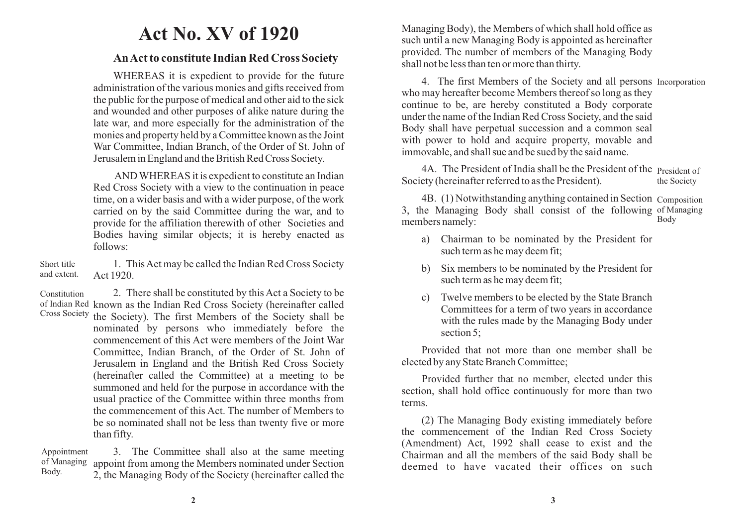# **Act No. XV of 1920**

#### **An Act to constitute Indian Red Cross Society**

WHEREAS it is expedient to provide for the future administration of the various monies and gifts received from the public for the purpose of medical and other aid to the sick and wounded and other purposes of alike nature during the late war, and more especially for the administration of the monies and property held by a Committee known as the Joint War Committee, Indian Branch, of the Order of St. John of Jerusalem in England and the British Red Cross Society.

AND WHEREAS it is expedient to constitute an Indian Red Cross Society with a view to the continuation in peace time, on a wider basis and with a wider purpose, of the work carried on by the said Committee during the war, and to provide for the affiliation therewith of other Societies and Bodies having similar objects; it is hereby enacted as follows:

1. This Act may be called the Indian Red Cross Society Act 1920. Short title and extent.

2. There shall be constituted by this Act a Society to be of Indian Red known as the Indian Red Cross Society (hereinafter called the Society). The first Members of the Society shall be nominated by persons who immediately before the commencement of this Act were members of the Joint War Committee, Indian Branch, of the Order of St. John of Jerusalem in England and the British Red Cross Society (hereinafter called the Committee) at a meeting to be summoned and held for the purpose in accordance with the usual practice of the Committee within three months from the commencement of this Act. The number of Members to be so nominated shall not be less than twenty five or more than fifty. Constitution Cross Society

3. The Committee shall also at the same meeting appoint from among the Members nominated under Section 2, the Managing Body of the Society (hereinafter called the Appointment of Managing Body.

Managing Body), the Members of which shall hold office as such until a new Managing Body is appointed as hereinafter provided. The number of members of the Managing Body shall not be less than ten or more than thirty.

4. The first Members of the Society and all persons Incorporation who may hereafter become Members thereof so long as they continue to be, are hereby constituted a Body corporate under the name of the Indian Red Cross Society, and the said Body shall have perpetual succession and a common seal with power to hold and acquire property, movable and immovable, and shall sue and be sued by the said name.

4A. The President of India shall be the President of the President of Society (hereinafter referred to as the President). the Society

4B. (1) Notwithstanding anything contained in Section Composition 3, the Managing Body shall consist of the following of Managing members namely: Body

- a) Chairman to be nominated by the President for such term as he may deem fit;
- b) Six members to be nominated by the President for such term as he may deem fit;
- c) Twelve members to be elected by the State Branch Committees for a term of two years in accordance with the rules made by the Managing Body under section 5;

Provided that not more than one member shall be elected by any State Branch Committee;

Provided further that no member, elected under this section, shall hold office continuously for more than two terms.

(2) The Managing Body existing immediately before the commencement of the Indian Red Cross Society (Amendment) Act, 1992 shall cease to exist and the Chairman and all the members of the said Body shall be deemed to have vacated their offices on such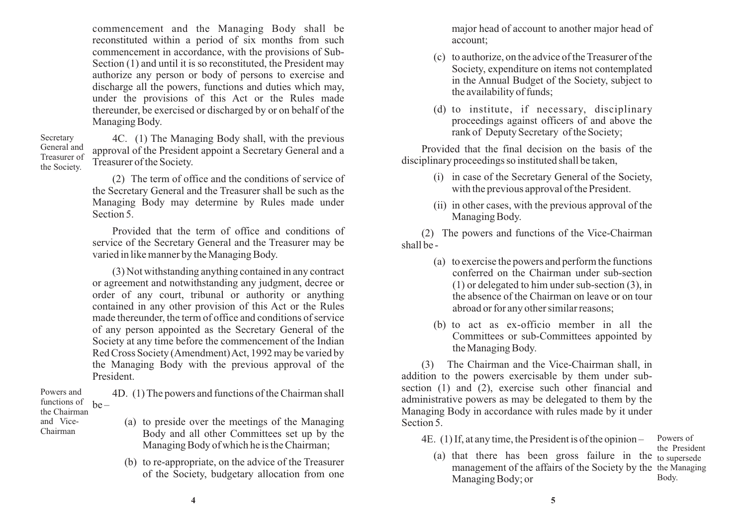commencement and the Managing Body shall be reconstituted within a period of six months from such commencement in accordance, with the provisions of Sub-Section (1) and until it is so reconstituted, the President may authorize any person or body of persons to exercise and discharge all the powers, functions and duties which may, under the provisions of this Act or the Rules made thereunder, be exercised or discharged by or on behalf of the Managing Body.

4C. (1) The Managing Body shall, with the previous approval of the President appoint a Secretary General and a Treasurer of the Society. Secretary General and Treasurer of the Society.

> (2) The term of office and the conditions of service of the Secretary General and the Treasurer shall be such as the Managing Body may determine by Rules made under Section 5.

> Provided that the term of office and conditions of service of the Secretary General and the Treasurer may be varied in like manner by the Managing Body.

> (3) Not withstanding anything contained in any contract or agreement and notwithstanding any judgment, decree or order of any court, tribunal or authority or anything contained in any other provision of this Act or the Rules made thereunder, the term of office and conditions of service of any person appointed as the Secretary General of the Society at any time before the commencement of the Indian Red Cross Society (Amendment) Act, 1992 may be varied by the Managing Body with the previous approval of the President.

4D. (1) The powers and functions of the Chairman shall  $he -$ Powers and functions of the Chairman

and Vice-Chairman

- (a) to preside over the meetings of the Managing Body and all other Committees set up by the Managing Body of which he is the Chairman;
	- (b) to re-appropriate, on the advice of the Treasurer of the Society, budgetary allocation from one

major head of account to another major head of account;

- (c) to authorize, on the advice of the Treasurer of the Society, expenditure on items not contemplated in the Annual Budget of the Society, subject to the availability of funds;
- (d) to institute, if necessary, disciplinary proceedings against officers of and above the rank of Deputy Secretary of the Society;

Provided that the final decision on the basis of the disciplinary proceedings so instituted shall be taken,

- (i) in case of the Secretary General of the Society, with the previous approval of the President.
- (ii) in other cases, with the previous approval of the Managing Body.

(2) The powers and functions of the Vice-Chairman shall be -

- (a) to exercise the powers and perform the functions conferred on the Chairman under sub-section (1) or delegated to him under sub-section (3), in the absence of the Chairman on leave or on tour abroad or for any other similar reasons;
- (b) to act as ex-officio member in all the Committees or sub-Committees appointed by the Managing Body.

(3) The Chairman and the Vice-Chairman shall, in addition to the powers exercisable by them under subsection (1) and (2), exercise such other financial and administrative powers as may be delegated to them by the Managing Body in accordance with rules made by it under Section 5.

4E. (1) If, at any time, the President is of the opinion –

(a) that there has been gross failure in the to supersede management of the affairs of the Society by the the Managing Managing Body; or the President Body.

Powers of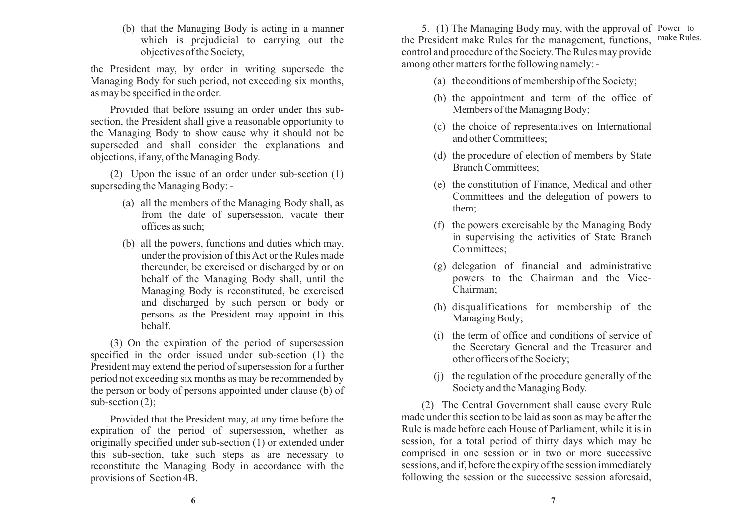(b) that the Managing Body is acting in a manner which is prejudicial to carrying out the objectives of the Society,

the President may, by order in writing supersede the Managing Body for such period, not exceeding six months, as may be specified in the order.

Provided that before issuing an order under this subsection, the President shall give a reasonable opportunity to the Managing Body to show cause why it should not be superseded and shall consider the explanations and objections, if any, of the Managing Body.

(2) Upon the issue of an order under sub-section (1) superseding the Managing Body: -

- (a) all the members of the Managing Body shall, as from the date of supersession, vacate their offices as such;
- (b) all the powers, functions and duties which may, under the provision of this Act or the Rules made thereunder, be exercised or discharged by or on behalf of the Managing Body shall, until the Managing Body is reconstituted, be exercised and discharged by such person or body or persons as the President may appoint in this behalf.

(3) On the expiration of the period of supersession specified in the order issued under sub-section (1) the President may extend the period of supersession for a further period not exceeding six months as may be recommended by the person or body of persons appointed under clause (b) of sub-section (2);

Provided that the President may, at any time before the expiration of the period of supersession, whether as originally specified under sub-section (1) or extended under this sub-section, take such steps as are necessary to reconstitute the Managing Body in accordance with the provisions of Section 4B.

5. (1) The Managing Body may, with the approval of Power to the President make Rules for the management, functions, make Rules. control and procedure of the Society. The Rules may provide among other matters for the following namely: -

- (a) the conditions of membership of the Society;
- (b) the appointment and term of the office of Members of the Managing Body;
- (c) the choice of representatives on International and other Committees;
- (d) the procedure of election of members by State Branch Committees;
- (e) the constitution of Finance, Medical and other Committees and the delegation of powers to them;
- (f) the powers exercisable by the Managing Body in supervising the activities of State Branch Committees;
- (g) delegation of financial and administrative powers to the Chairman and the Vice-Chairman;
- (h) disqualifications for membership of the Managing Body;
- (i) the term of office and conditions of service of the Secretary General and the Treasurer and other officers of the Society;
- (j) the regulation of the procedure generally of the Society and the Managing Body.

(2) The Central Government shall cause every Rule made under this section to be laid as soon as may be after the Rule is made before each House of Parliament, while it is in session, for a total period of thirty days which may be comprised in one session or in two or more successive sessions, and if, before the expiry of the session immediately following the session or the successive session aforesaid,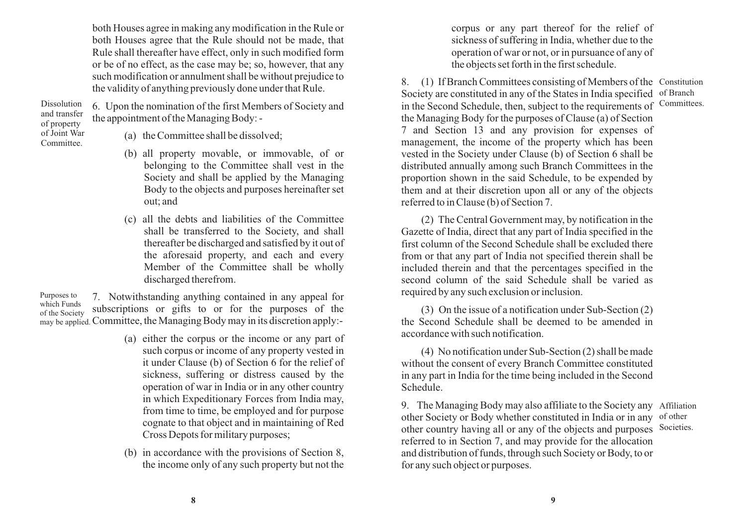both Houses agree in making any modification in the Rule or both Houses agree that the Rule should not be made, that Rule shall thereafter have effect, only in such modified form or be of no effect, as the case may be; so, however, that any such modification or annulment shall be without prejudice to the validity of anything previously done under that Rule.

6. Upon the nomination of the first Members of Society and the appointment of the Managing Body: - Dissolution and transfer of property of Joint War

Committee.

(a) the Committee shall be dissolved;

- (b) all property movable, or immovable, of or belonging to the Committee shall vest in the Society and shall be applied by the Managing Body to the objects and purposes hereinafter set out; and
- (c) all the debts and liabilities of the Committee shall be transferred to the Society, and shall thereafter be discharged and satisfied by it out of the aforesaid property, and each and every Member of the Committee shall be wholly discharged therefrom.

7. Notwithstanding anything contained in any appeal for subscriptions or gifts to or for the purposes of the may be applied. Committee, the Managing Body may in its discretion apply:-Purposes to which Funds of the Society

- (a) either the corpus or the income or any part of such corpus or income of any property vested in it under Clause (b) of Section 6 for the relief of sickness, suffering or distress caused by the operation of war in India or in any other country in which Expeditionary Forces from India may, from time to time, be employed and for purpose cognate to that object and in maintaining of Red Cross Depots for military purposes;
- (b) in accordance with the provisions of Section 8, the income only of any such property but not the

corpus or any part thereof for the relief of sickness of suffering in India, whether due to the operation of war or not, or in pursuance of any of the objects set forth in the first schedule.

8. (1) If Branch Committees consisting of Members of the Constitution Society are constituted in any of the States in India specified of Branch in the Second Schedule, then, subject to the requirements of Committees. the Managing Body for the purposes of Clause (a) of Section 7 and Section 13 and any provision for expenses of management, the income of the property which has been vested in the Society under Clause (b) of Section 6 shall be distributed annually among such Branch Committees in the proportion shown in the said Schedule, to be expended by them and at their discretion upon all or any of the objects referred to in Clause (b) of Section 7.

(2) The Central Government may, by notification in the Gazette of India, direct that any part of India specified in the first column of the Second Schedule shall be excluded there from or that any part of India not specified therein shall be included therein and that the percentages specified in the second column of the said Schedule shall be varied as required by any such exclusion or inclusion.

(3) On the issue of a notification under Sub-Section (2) the Second Schedule shall be deemed to be amended in accordance with such notification.

(4) No notification under Sub-Section (2) shall be made without the consent of every Branch Committee constituted in any part in India for the time being included in the Second Schedule.

9. The Managing Body may also affiliate to the Society any Affiliation other Society or Body whether constituted in India or in any of other other country having all or any of the objects and purposes Societies. referred to in Section 7, and may provide for the allocation and distribution of funds, through such Society or Body, to or for any such object or purposes.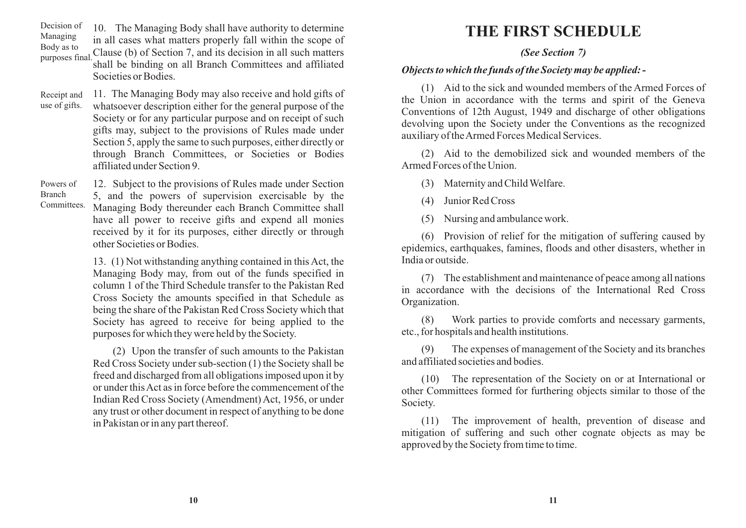10. The Managing Body shall have authority to determine Decision of Managing

in all cases what matters properly fall within the scope of

Body as to Clause (b) of Section 7, and its decision in all such matters shall be binding on all Branch Committees and affiliated Societies or Bodies. purposes final.

Receipt and 11. The Managing Body may also receive and hold gifts of whatsoever description either for the general purpose of the use of gifts. Society or for any particular purpose and on receipt of such gifts may, subject to the provisions of Rules made under Section 5, apply the same to such purposes, either directly or through Branch Committees, or Societies or Bodies affiliated under Section 9.

Powers of Branch

12. Subject to the provisions of Rules made under Section 5, and the powers of supervision exercisable by the Managing Body thereunder each Branch Committee shall have all power to receive gifts and expend all monies received by it for its purposes, either directly or through other Societies or Bodies. Committees.

> 13. (1) Not withstanding anything contained in this Act, the Managing Body may, from out of the funds specified in column 1 of the Third Schedule transfer to the Pakistan Red Cross Society the amounts specified in that Schedule as being the share of the Pakistan Red Cross Society which that Society has agreed to receive for being applied to the purposes for which they were held by the Society.

> (2) Upon the transfer of such amounts to the Pakistan Red Cross Society under sub-section (1) the Society shall be freed and discharged from all obligations imposed upon it by or under this Act as in force before the commencement of the Indian Red Cross Society (Amendment) Act, 1956, or under any trust or other document in respect of anything to be done in Pakistan or in any part thereof.

# **THE FIRST SCHEDULE**

#### *(See Section 7)*

#### *Objects to which the funds of the Society may be applied: -*

(1) Aid to the sick and wounded members of the Armed Forces of the Union in accordance with the terms and spirit of the Geneva Conventions of 12th August, 1949 and discharge of other obligations devolving upon the Society under the Conventions as the recognized auxiliary of the Armed Forces Medical Services.

(2) Aid to the demobilized sick and wounded members of the Armed Forces of the Union.

(3) Maternity and Child Welfare.

(4) Junior Red Cross

(5) Nursing and ambulance work.

(6) Provision of relief for the mitigation of suffering caused by epidemics, earthquakes, famines, floods and other disasters, whether in India or outside.

(7) The establishment and maintenance of peace among all nations in accordance with the decisions of the International Red Cross Organization.

(8) Work parties to provide comforts and necessary garments, etc., for hospitals and health institutions.

(9) The expenses of management of the Society and its branches and affiliated societies and bodies.

(10) The representation of the Society on or at International or other Committees formed for furthering objects similar to those of the Society.

(11) The improvement of health, prevention of disease and mitigation of suffering and such other cognate objects as may be approved by the Society from time to time.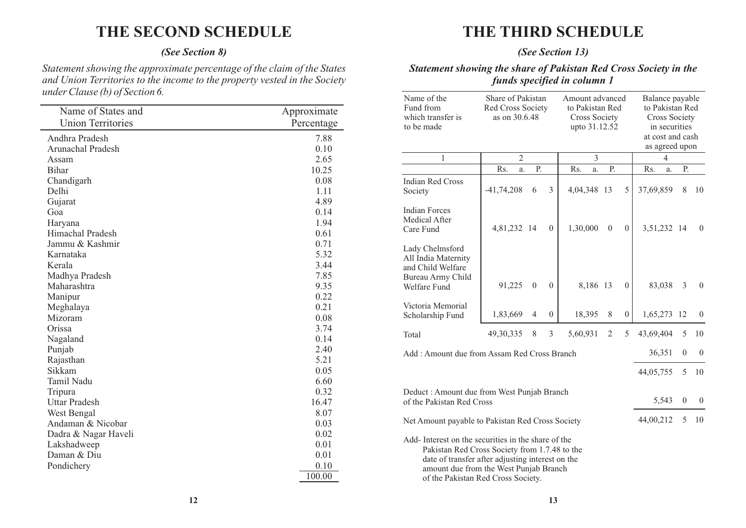# **THE SECOND SCHEDULE**

#### *(See Section 8)*

*Statement showing the approximate percentage of the claim of the States and Union Territories to the income to the property vested in the Society under Clause (b) of Section 6.* 

| Name of States and       | Approximate |
|--------------------------|-------------|
| <b>Union Territories</b> | Percentage  |
| Andhra Pradesh           | 7.88        |
| Arunachal Pradesh        | 0.10        |
| Assam                    | 2.65        |
| <b>Bihar</b>             | 10.25       |
| Chandigarh               | 0.08        |
| Delhi                    | 1.11        |
| Gujarat                  | 4.89        |
| Goa                      | 0.14        |
| Haryana                  | 1.94        |
| Himachal Pradesh         | 0.61        |
| Jammu & Kashmir          | 0.71        |
| Karnataka                | 5.32        |
| Kerala                   | 3.44        |
| Madhya Pradesh           | 7.85        |
| Maharashtra              | 9.35        |
| Manipur                  | 0.22        |
| Meghalaya                | 0.21        |
| Mizoram                  | 0.08        |
| Orissa                   | 3.74        |
| Nagaland                 | 0.14        |
| Punjab                   | 2.40        |
| Rajasthan                | 5.21        |
| Sikkam                   | 0.05        |
| Tamil Nadu               | 6.60        |
| Tripura                  | 0.32        |
| <b>Uttar Pradesh</b>     | 16.47       |
| West Bengal              | 8.07        |
| Andaman & Nicobar        | 0.03        |
| Dadra & Nagar Haveli     | 0.02        |
| Lakshadweep              | 0.01        |
| Daman & Diu              | 0.01        |
| Pondichery               | 0.10        |
|                          | 100.00      |

# **THE THIRD SCHEDULE**

#### *(See Section 13)*

#### *Statement showing the share of Pakistan Red Cross Society in the funds specified in column 1*

| Name of the<br>Fund from<br>which transfer is<br>to be made                                                                                                                                                                             | Share of Pakistan<br>Red Cross Society<br>as on 30.6.48 |                |                | Amount advanced<br>to Pakistan Red<br>Cross Society<br>upto 31.12.52 |                |                | Balance payable<br>to Pakistan Red<br><b>Cross Society</b><br>in securities<br>at cost and cash<br>as agreed upon |              |                |  |  |
|-----------------------------------------------------------------------------------------------------------------------------------------------------------------------------------------------------------------------------------------|---------------------------------------------------------|----------------|----------------|----------------------------------------------------------------------|----------------|----------------|-------------------------------------------------------------------------------------------------------------------|--------------|----------------|--|--|
| 1                                                                                                                                                                                                                                       | $\overline{2}$                                          |                |                | 3                                                                    |                |                | 4                                                                                                                 |              |                |  |  |
|                                                                                                                                                                                                                                         | Rs.<br>a.                                               | P.             |                | Rs.<br>a.                                                            | Ρ.             |                | Rs.<br>a.                                                                                                         | Ρ.           |                |  |  |
| Indian Red Cross<br>Society                                                                                                                                                                                                             | $-41,74,208$                                            | 6              | $\mathfrak{Z}$ | 4,04,348 13                                                          |                | 5              | 37,69,859                                                                                                         | 8            | 10             |  |  |
| <b>Indian Forces</b><br>Medical After<br>Care Fund                                                                                                                                                                                      | 4,81,232 14                                             |                | $\overline{0}$ | 1,30,000                                                             | $\overline{0}$ | $\overline{0}$ | 3,51,232 14                                                                                                       |              | $\overline{0}$ |  |  |
| Lady Chelmsford<br>All India Maternity<br>and Child Welfare<br>Bureau Army Child<br>Welfare Fund                                                                                                                                        | 91,225                                                  | $\overline{0}$ | $\mathbf{0}$   | 8,186 13                                                             |                | $\theta$       | 83,038                                                                                                            | 3            | $\overline{0}$ |  |  |
| Victoria Memorial<br>Scholarship Fund                                                                                                                                                                                                   | 1,83,669                                                | $\overline{4}$ | $\overline{0}$ | 18,395                                                               | 8              | $\overline{0}$ | 1,65,273 12                                                                                                       |              | $\mathbf{0}$   |  |  |
| Total                                                                                                                                                                                                                                   | 49,30,335                                               | 8              | $\mathfrak{Z}$ | 5,60,931                                                             | 2              | 5              | 43,69,404                                                                                                         | 5            | 10             |  |  |
| Add: Amount due from Assam Red Cross Branch                                                                                                                                                                                             |                                                         |                |                |                                                                      |                |                | 36,351                                                                                                            | $\mathbf{0}$ | $\overline{0}$ |  |  |
|                                                                                                                                                                                                                                         |                                                         |                |                |                                                                      |                |                | 44,05,755                                                                                                         | 5            | 10             |  |  |
| Deduct: Amount due from West Punjab Branch<br>of the Pakistan Red Cross                                                                                                                                                                 | 5,543                                                   | $\overline{0}$ | $\theta$       |                                                                      |                |                |                                                                                                                   |              |                |  |  |
| Net Amount payable to Pakistan Red Cross Society                                                                                                                                                                                        |                                                         | 44,00,212      | 5              | 10                                                                   |                |                |                                                                                                                   |              |                |  |  |
| Add-Interest on the securities in the share of the<br>Pakistan Red Cross Society from 1.7.48 to the<br>date of transfer after adjusting interest on the<br>amount due from the West Punjab Branch<br>of the Pakistan Red Cross Society. |                                                         |                |                |                                                                      |                |                |                                                                                                                   |              |                |  |  |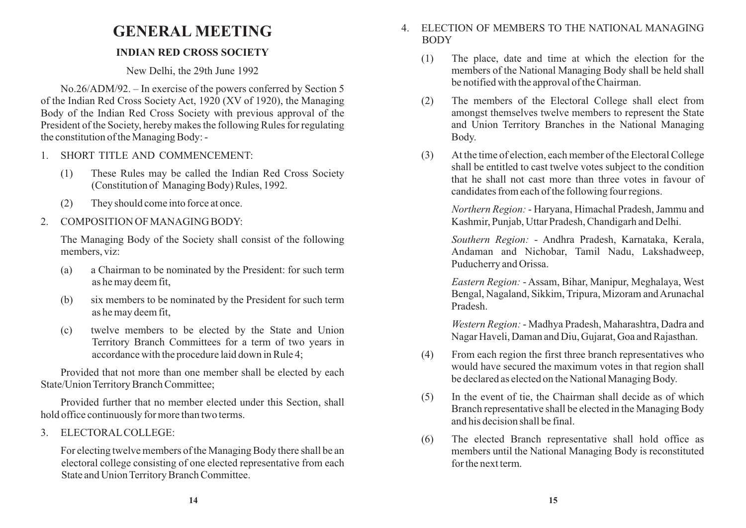# **GENERAL MEETING**

### **INDIAN RED CROSS SOCIETY**

New Delhi, the 29th June 1992

No.26/ADM/92. – In exercise of the powers conferred by Section 5 of the Indian Red Cross Society Act, 1920 (XV of 1920), the Managing Body of the Indian Red Cross Society with previous approval of the President of the Society, hereby makes the following Rules for regulating the constitution of the Managing Body: -

- 1. SHORT TITLE AND COMMENCEMENT:
	- (1) These Rules may be called the Indian Red Cross Society (Constitution of Managing Body) Rules, 1992.
	- (2) They should come into force at once.
- 2. COMPOSITION OF MANAGING BODY:

The Managing Body of the Society shall consist of the following members, viz:

- (a) a Chairman to be nominated by the President: for such term as he may deem fit,
- (b) six members to be nominated by the President for such term as he may deem fit,
- (c) twelve members to be elected by the State and Union Territory Branch Committees for a term of two years in accordance with the procedure laid down in Rule 4;

Provided that not more than one member shall be elected by each State/Union Territory Branch Committee;

Provided further that no member elected under this Section, shall hold office continuously for more than two terms.

3. ELECTORALCOLLEGE:

For electing twelve members of the Managing Body there shall be an electoral college consisting of one elected representative from each State and Union Territory Branch Committee.

- 4. ELECTION OF MEMBERS TO THE NATIONAL MANAGING **BODY** 
	- (1) The place, date and time at which the election for the members of the National Managing Body shall be held shall be notified with the approval of the Chairman.
	- (2) The members of the Electoral College shall elect from amongst themselves twelve members to represent the State and Union Territory Branches in the National Managing Body.
	- (3) At the time of election, each member of the Electoral College shall be entitled to cast twelve votes subject to the condition that he shall not cast more than three votes in favour of candidates from each of the following four regions.

*Northern Region:* - Haryana, Himachal Pradesh, Jammu and Kashmir, Punjab, Uttar Pradesh, Chandigarh and Delhi.

*Southern Region:* - Andhra Pradesh, Karnataka, Kerala, Andaman and Nichobar, Tamil Nadu, Lakshadweep, Puducherry and Orissa.

*Eastern Region:* - Assam, Bihar, Manipur, Meghalaya, West Bengal, Nagaland, Sikkim, Tripura, Mizoram and Arunachal Pradesh.

*Western Region:* - Madhya Pradesh, Maharashtra, Dadra and Nagar Haveli, Daman and Diu, Gujarat, Goa and Rajasthan.

- (4) From each region the first three branch representatives who would have secured the maximum votes in that region shall be declared as elected on the National Managing Body.
- (5) In the event of tie, the Chairman shall decide as of which Branch representative shall be elected in the Managing Body and his decision shall be final.
- (6) The elected Branch representative shall hold office as members until the National Managing Body is reconstituted for the next term.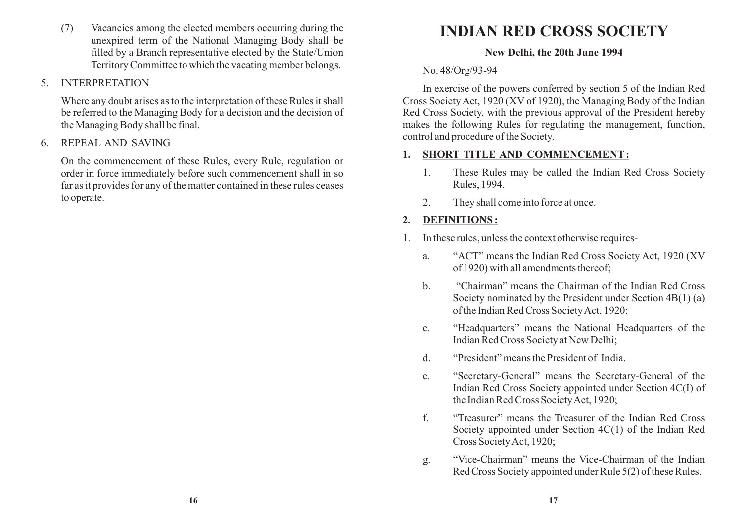(7) Vacancies among the elected members occurring during the unexpired term of the National Managing Body shall be filled by a Branch representative elected by the State/Union Territory Committee to which the vacating member belongs.

### 5. INTERPRETATION

Where any doubt arises as to the interpretation of these Rules it shall be referred to the Managing Body for a decision and the decision of the Managing Body shall be final.

#### 6. REPEAL AND SAVING

On the commencement of these Rules, every Rule, regulation or order in force immediately before such commencement shall in so far as it provides for any of the matter contained in these rules ceases to operate.

# **INDIAN RED CROSS SOCIETY**

#### **New Delhi, the 20th June 1994**

### No. 48/Org/93-94

In exercise of the powers conferred by section 5 of the Indian Red Cross Society Act, 1920 (XV of 1920), the Managing Body of the Indian Red Cross Society, with the previous approval of the President hereby makes the following Rules for regulating the management, function, control and procedure of the Society.

### **1. SHORT TITLE AND COMMENCEMENT:**

- 1. These Rules may be called the Indian Red Cross Society Rules, 1994.
- 2. They shall come into force at once.

# **2. DEFINITIONS :**

- 1. In these rules, unless the context otherwise requires
	- a. "ACT" means the Indian Red Cross Society Act, 1920 (XV of 1920) with all amendments thereof;
	- b. "Chairman" means the Chairman of the Indian Red Cross Society nominated by the President under Section 4B(1) (a) of the Indian Red Cross Society Act, 1920;
	- c. "Headquarters" means the National Headquarters of the Indian Red Cross Society at New Delhi;
	- d. "President" means the President of India.
	- e. "Secretary-General" means the Secretary-General of the Indian Red Cross Society appointed under Section 4C(I) of the Indian Red Cross Society Act, 1920;
	- f. "Treasurer" means the Treasurer of the Indian Red Cross Society appointed under Section 4C(1) of the Indian Red Cross Society Act, 1920;
	- g. "Vice-Chairman" means the Vice-Chairman of the Indian Red Cross Society appointed under Rule 5(2) of these Rules.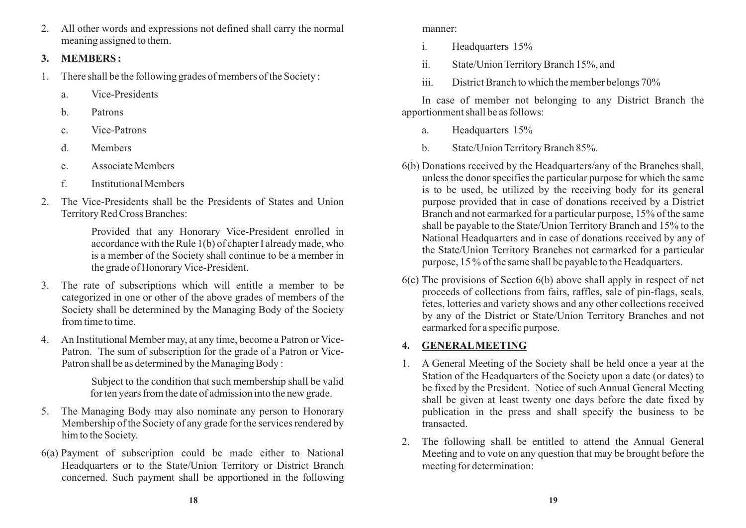2. All other words and expressions not defined shall carry the normal meaning assigned to them.

#### **3. MEMBERS :**

- 1. There shall be the following grades of members of the Society :
	- a. Vice-Presidents
	- b. Patrons
	- c. Vice-Patrons
	- d. Members
	- e. Associate Members
	- f. Institutional Members
- 2. The Vice-Presidents shall be the Presidents of States and Union Territory Red Cross Branches:

Provided that any Honorary Vice-President enrolled in accordance with the Rule 1(b) of chapter I already made, who is a member of the Society shall continue to be a member in the grade of Honorary Vice-President.

- 3. The rate of subscriptions which will entitle a member to be categorized in one or other of the above grades of members of the Society shall be determined by the Managing Body of the Society from time to time.
- 4. An Institutional Member may, at any time, become a Patron or Vice-Patron. The sum of subscription for the grade of a Patron or Vice-Patron shall be as determined by the Managing Body :

Subject to the condition that such membership shall be valid for ten years from the date of admission into the new grade.

- 5. The Managing Body may also nominate any person to Honorary Membership of the Society of any grade for the services rendered by him to the Society.
- 6(a) Payment of subscription could be made either to National Headquarters or to the State/Union Territory or District Branch concerned. Such payment shall be apportioned in the following

manner:

- i. Headquarters 15%
- ii. State/Union Territory Branch 15%, and
- iii. District Branch to which the member belongs 70%

In case of member not belonging to any District Branch the apportionment shall be as follows:

- a. Headquarters 15%
- b. State/Union Territory Branch 85%.
- 6(b) Donations received by the Headquarters/any of the Branches shall, unless the donor specifies the particular purpose for which the same is to be used, be utilized by the receiving body for its general purpose provided that in case of donations received by a District Branch and not earmarked for a particular purpose, 15% of the same shall be payable to the State/Union Territory Branch and 15% to the National Headquarters and in case of donations received by any of the State/Union Territory Branches not earmarked for a particular purpose, 15 % of the same shall be payable to the Headquarters.
- 6(c) The provisions of Section 6(b) above shall apply in respect of net proceeds of collections from fairs, raffles, sale of pin-flags, seals, fetes, lotteries and variety shows and any other collections received by any of the District or State/Union Territory Branches and not earmarked for a specific purpose.

## **4. GENERALMEETING**

- 1. A General Meeting of the Society shall be held once a year at the Station of the Headquarters of the Society upon a date (or dates) to be fixed by the President. Notice of such Annual General Meeting shall be given at least twenty one days before the date fixed by publication in the press and shall specify the business to be transacted.
- 2. The following shall be entitled to attend the Annual General Meeting and to vote on any question that may be brought before the meeting for determination: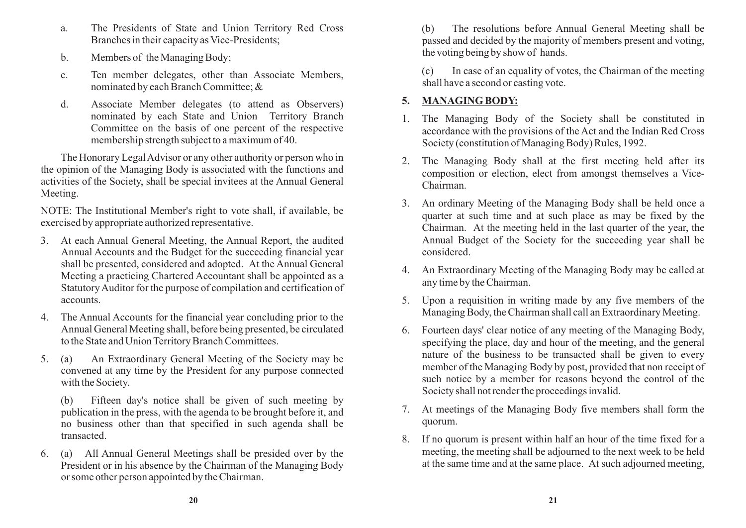- a. The Presidents of State and Union Territory Red Cross Branches in their capacity as Vice-Presidents;
- b. Members of the Managing Body;
- c. Ten member delegates, other than Associate Members, nominated by each Branch Committee; &
- d. Associate Member delegates (to attend as Observers) nominated by each State and Union Territory Branch Committee on the basis of one percent of the respective membership strength subject to a maximum of 40.

The Honorary Legal Advisor or any other authority or person who in the opinion of the Managing Body is associated with the functions and activities of the Society, shall be special invitees at the Annual General Meeting.

NOTE: The Institutional Member's right to vote shall, if available, be exercised by appropriate authorized representative.

- 3. At each Annual General Meeting, the Annual Report, the audited Annual Accounts and the Budget for the succeeding financial year shall be presented, considered and adopted. At the Annual General Meeting a practicing Chartered Accountant shall be appointed as a Statutory Auditor for the purpose of compilation and certification of accounts.
- 4. The Annual Accounts for the financial year concluding prior to the Annual General Meeting shall, before being presented, be circulated to the State and Union Territory Branch Committees.
- 5. (a) An Extraordinary General Meeting of the Society may be convened at any time by the President for any purpose connected with the Society.

(b) Fifteen day's notice shall be given of such meeting by publication in the press, with the agenda to be brought before it, and no business other than that specified in such agenda shall be transacted.

6. (a) All Annual General Meetings shall be presided over by the President or in his absence by the Chairman of the Managing Body or some other person appointed by the Chairman.

(b) The resolutions before Annual General Meeting shall be passed and decided by the majority of members present and voting, the voting being by show of hands.

(c) In case of an equality of votes, the Chairman of the meeting shall have a second or casting vote.

## **5. MANAGING BODY:**

- 1. The Managing Body of the Society shall be constituted in accordance with the provisions of the Act and the Indian Red Cross Society (constitution of Managing Body) Rules, 1992.
- 2. The Managing Body shall at the first meeting held after its composition or election, elect from amongst themselves a Vice-Chairman.
- 3. An ordinary Meeting of the Managing Body shall be held once a quarter at such time and at such place as may be fixed by the Chairman. At the meeting held in the last quarter of the year, the Annual Budget of the Society for the succeeding year shall be considered.
- 4. An Extraordinary Meeting of the Managing Body may be called at any time by the Chairman.
- 5. Upon a requisition in writing made by any five members of the Managing Body, the Chairman shall call an Extraordinary Meeting.
- 6. Fourteen days' clear notice of any meeting of the Managing Body, specifying the place, day and hour of the meeting, and the general nature of the business to be transacted shall be given to every member of the Managing Body by post, provided that non receipt of such notice by a member for reasons beyond the control of the Society shall not render the proceedings invalid.
- 7. At meetings of the Managing Body five members shall form the quorum.
- 8. If no quorum is present within half an hour of the time fixed for a meeting, the meeting shall be adjourned to the next week to be held at the same time and at the same place. At such adjourned meeting,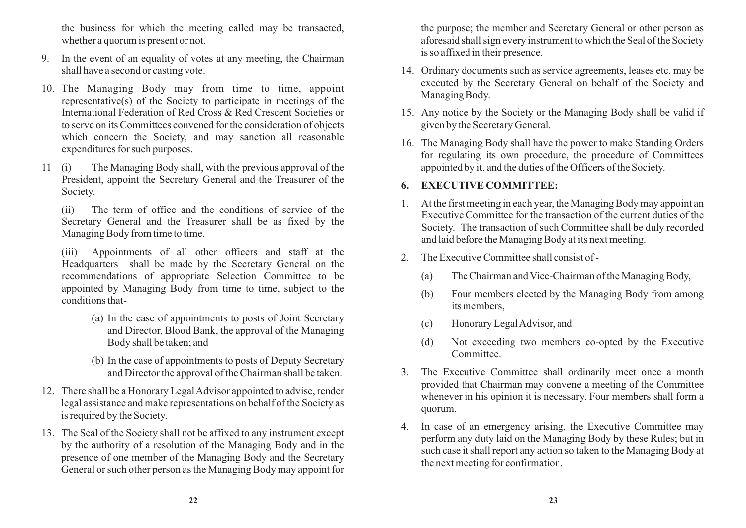the business for which the meeting called may be transacted, whether a quorum is present or not.

- 9. In the event of an equality of votes at any meeting, the Chairman shall have a second or casting vote.
- 10. The Managing Body may from time to time, appoint representative(s) of the Society to participate in meetings of the International Federation of Red Cross & Red Crescent Societies or to serve on its Committees convened for the consideration of objects which concern the Society, and may sanction all reasonable expenditures for such purposes.
- 11 (i) The Managing Body shall, with the previous approval of the President, appoint the Secretary General and the Treasurer of the Society.

(ii) The term of office and the conditions of service of the Secretary General and the Treasurer shall be as fixed by the Managing Body from time to time.

(iii) Appointments of all other officers and staff at the Headquarters shall be made by the Secretary General on the recommendations of appropriate Selection Committee to be appointed by Managing Body from time to time, subject to the conditions that-

- (a) In the case of appointments to posts of Joint Secretary and Director, Blood Bank, the approval of the Managing Body shall be taken; and
- (b) In the case of appointments to posts of Deputy Secretary and Director the approval of the Chairman shall be taken.
- 12. There shall be a Honorary Legal Advisor appointed to advise, render legal assistance and make representations on behalf of the Society as is required by the Society.
- 13. The Seal of the Society shall not be affixed to any instrument except by the authority of a resolution of the Managing Body and in the presence of one member of the Managing Body and the Secretary General or such other person as the Managing Body may appoint for

the purpose; the member and Secretary General or other person as aforesaid shall sign every instrument to which the Seal of the Society is so affixed in their presence.

- 14. Ordinary documents such as service agreements, leases etc. may be executed by the Secretary General on behalf of the Society and Managing Body.
- 15. Any notice by the Society or the Managing Body shall be valid if given by the Secretary General.
- 16. The Managing Body shall have the power to make Standing Orders for regulating its own procedure, the procedure of Committees appointed by it, and the duties of the Officers of the Society.

#### **6. EXECUTIVE COMMITTEE:**

- 1. At the first meeting in each year, the Managing Body may appoint an Executive Committee for the transaction of the current duties of the Society. The transaction of such Committee shall be duly recorded and laid before the Managing Body at its next meeting.
- 2. The Executive Committee shall consist of
	- (a) The Chairman and Vice-Chairman of the Managing Body,
	- (b) Four members elected by the Managing Body from among its members,
	- (c) Honorary Legal Advisor, and
	- (d) Not exceeding two members co-opted by the Executive Committee.
- 3. The Executive Committee shall ordinarily meet once a month provided that Chairman may convene a meeting of the Committee whenever in his opinion it is necessary. Four members shall form a quorum.
- 4. In case of an emergency arising, the Executive Committee may perform any duty laid on the Managing Body by these Rules; but in such case it shall report any action so taken to the Managing Body at the next meeting for confirmation.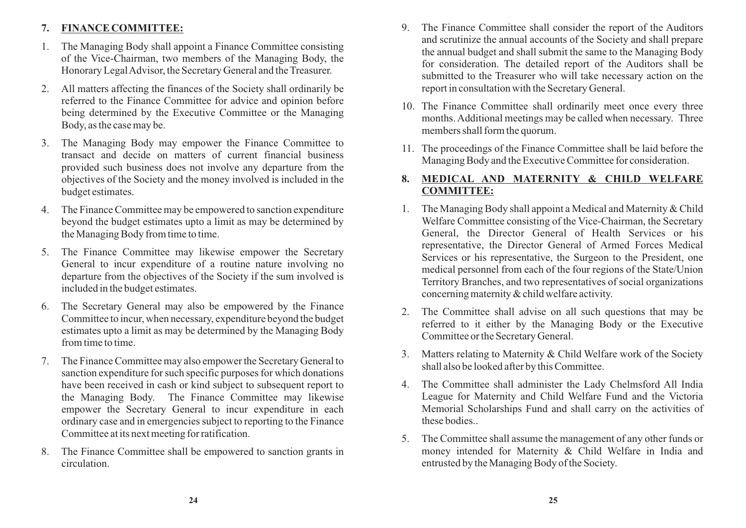### **7. FINANCE COMMITTEE:**

- 1. The Managing Body shall appoint a Finance Committee consisting of the Vice-Chairman, two members of the Managing Body, the Honorary Legal Advisor, the Secretary General and the Treasurer.
- 2. All matters affecting the finances of the Society shall ordinarily be referred to the Finance Committee for advice and opinion before being determined by the Executive Committee or the Managing Body, as the case may be.
- 3. The Managing Body may empower the Finance Committee to transact and decide on matters of current financial business provided such business does not involve any departure from the objectives of the Society and the money involved is included in the budget estimates.
- 4. The Finance Committee may be empowered to sanction expenditure beyond the budget estimates upto a limit as may be determined by the Managing Body from time to time.
- 5. The Finance Committee may likewise empower the Secretary General to incur expenditure of a routine nature involving no departure from the objectives of the Society if the sum involved is included in the budget estimates.
- 6. The Secretary General may also be empowered by the Finance Committee to incur, when necessary, expenditure beyond the budget estimates upto a limit as may be determined by the Managing Body from time to time.
- 7. The Finance Committee may also empower the Secretary General to sanction expenditure for such specific purposes for which donations have been received in cash or kind subject to subsequent report to the Managing Body. The Finance Committee may likewise empower the Secretary General to incur expenditure in each ordinary case and in emergencies subject to reporting to the Finance Committee at its next meeting for ratification.
- 8. The Finance Committee shall be empowered to sanction grants in circulation.
- 9. The Finance Committee shall consider the report of the Auditors and scrutinize the annual accounts of the Society and shall prepare the annual budget and shall submit the same to the Managing Body for consideration. The detailed report of the Auditors shall be submitted to the Treasurer who will take necessary action on the report in consultation with the Secretary General.
- 10. The Finance Committee shall ordinarily meet once every three months. Additional meetings may be called when necessary. Three members shall form the quorum.
- 11. The proceedings of the Finance Committee shall be laid before the Managing Body and the Executive Committee for consideration.

### **8. MEDICAL AND MATERNITY & CHILD WELFARE COMMITTEE:**

- 1. The Managing Body shall appoint a Medical and Maternity & Child Welfare Committee consisting of the Vice-Chairman, the Secretary General, the Director General of Health Services or his representative, the Director General of Armed Forces Medical Services or his representative, the Surgeon to the President, one medical personnel from each of the four regions of the State/Union Territory Branches, and two representatives of social organizations concerning maternity & child welfare activity.
- 2. The Committee shall advise on all such questions that may be referred to it either by the Managing Body or the Executive Committee or the Secretary General.
- 3. Matters relating to Maternity & Child Welfare work of the Society shall also be looked after by this Committee.
- 4. The Committee shall administer the Lady Chelmsford All India League for Maternity and Child Welfare Fund and the Victoria Memorial Scholarships Fund and shall carry on the activities of these bodies..
- 5. The Committee shall assume the management of any other funds or money intended for Maternity & Child Welfare in India and entrusted by the Managing Body of the Society.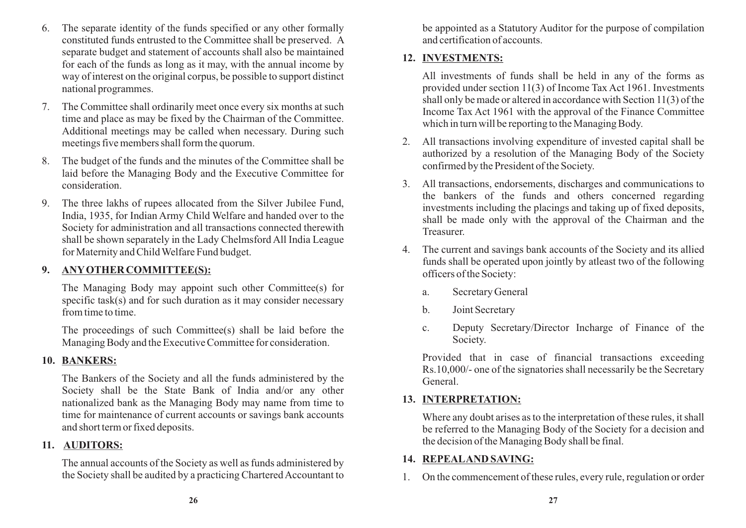- 6. The separate identity of the funds specified or any other formally constituted funds entrusted to the Committee shall be preserved. A separate budget and statement of accounts shall also be maintained for each of the funds as long as it may, with the annual income by way of interest on the original corpus, be possible to support distinct national programmes.
- 7. The Committee shall ordinarily meet once every six months at such time and place as may be fixed by the Chairman of the Committee. Additional meetings may be called when necessary. During such meetings five members shall form the quorum.
- 8. The budget of the funds and the minutes of the Committee shall be laid before the Managing Body and the Executive Committee for consideration.
- 9. The three lakhs of rupees allocated from the Silver Jubilee Fund, India, 1935, for Indian Army Child Welfare and handed over to the Society for administration and all transactions connected therewith shall be shown separately in the Lady Chelmsford All India League for Maternity and Child Welfare Fund budget.

## **9. ANYOTHER COMMITTEE(S):**

The Managing Body may appoint such other Committee(s) for specific task(s) and for such duration as it may consider necessary from time to time.

The proceedings of such Committee(s) shall be laid before the Managing Body and the Executive Committee for consideration.

## **10. BANKERS:**

The Bankers of the Society and all the funds administered by the Society shall be the State Bank of India and/or any other nationalized bank as the Managing Body may name from time to time for maintenance of current accounts or savings bank accounts and short term or fixed deposits.

## **11. AUDITORS:**

The annual accounts of the Society as well as funds administered by the Society shall be audited by a practicing Chartered Accountant to

be appointed as a Statutory Auditor for the purpose of compilation and certification of accounts.

## **12. INVESTMENTS:**

All investments of funds shall be held in any of the forms as provided under section 11(3) of Income Tax Act 1961. Investments shall only be made or altered in accordance with Section 11(3) of the Income Tax Act 1961 with the approval of the Finance Committee which in turn will be reporting to the Managing Body.

- 2. All transactions involving expenditure of invested capital shall be authorized by a resolution of the Managing Body of the Society confirmed by the President of the Society.
- 3. All transactions, endorsements, discharges and communications to the bankers of the funds and others concerned regarding investments including the placings and taking up of fixed deposits, shall be made only with the approval of the Chairman and the Treasurer.
- 4. The current and savings bank accounts of the Society and its allied funds shall be operated upon jointly by atleast two of the following officers of the Society:
	- a. Secretary General
	- b. Joint Secretary
	- c. Deputy Secretary/Director Incharge of Finance of the Society.

Provided that in case of financial transactions exceeding Rs.10,000/- one of the signatories shall necessarily be the Secretary General.

# **13. INTERPRETATION:**

Where any doubt arises as to the interpretation of these rules, it shall be referred to the Managing Body of the Society for a decision and the decision of the Managing Body shall be final.

## **14. REPEALAND SAVING:**

1. On the commencement of these rules, every rule, regulation or order